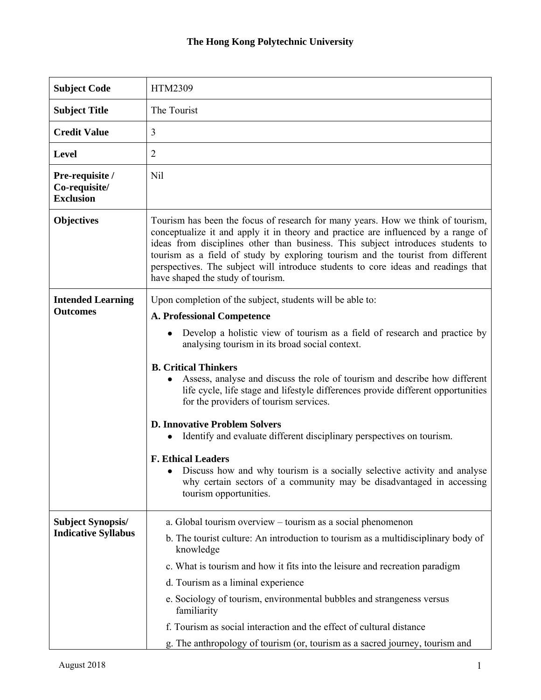| <b>Subject Code</b>                                    | HTM2309                                                                                                                                                                                                                                                                                                                                                                                                                                                                                                                                                                                                                                                                                                                                                                                              |
|--------------------------------------------------------|------------------------------------------------------------------------------------------------------------------------------------------------------------------------------------------------------------------------------------------------------------------------------------------------------------------------------------------------------------------------------------------------------------------------------------------------------------------------------------------------------------------------------------------------------------------------------------------------------------------------------------------------------------------------------------------------------------------------------------------------------------------------------------------------------|
| <b>Subject Title</b>                                   | The Tourist                                                                                                                                                                                                                                                                                                                                                                                                                                                                                                                                                                                                                                                                                                                                                                                          |
| <b>Credit Value</b>                                    | 3                                                                                                                                                                                                                                                                                                                                                                                                                                                                                                                                                                                                                                                                                                                                                                                                    |
| <b>Level</b>                                           | $\overline{2}$                                                                                                                                                                                                                                                                                                                                                                                                                                                                                                                                                                                                                                                                                                                                                                                       |
| Pre-requisite /<br>Co-requisite/<br><b>Exclusion</b>   | Nil                                                                                                                                                                                                                                                                                                                                                                                                                                                                                                                                                                                                                                                                                                                                                                                                  |
| <b>Objectives</b>                                      | Tourism has been the focus of research for many years. How we think of tourism,<br>conceptualize it and apply it in theory and practice are influenced by a range of<br>ideas from disciplines other than business. This subject introduces students to<br>tourism as a field of study by exploring tourism and the tourist from different<br>perspectives. The subject will introduce students to core ideas and readings that<br>have shaped the study of tourism.                                                                                                                                                                                                                                                                                                                                 |
| <b>Intended Learning</b><br><b>Outcomes</b>            | Upon completion of the subject, students will be able to:<br><b>A. Professional Competence</b><br>Develop a holistic view of tourism as a field of research and practice by<br>analysing tourism in its broad social context.<br><b>B. Critical Thinkers</b><br>Assess, analyse and discuss the role of tourism and describe how different<br>life cycle, life stage and lifestyle differences provide different opportunities<br>for the providers of tourism services.<br><b>D. Innovative Problem Solvers</b><br>Identify and evaluate different disciplinary perspectives on tourism.<br><b>F. Ethical Leaders</b><br>Discuss how and why tourism is a socially selective activity and analyse<br>why certain sectors of a community may be disadvantaged in accessing<br>tourism opportunities. |
| <b>Subject Synopsis/</b><br><b>Indicative Syllabus</b> | a. Global tourism overview – tourism as a social phenomenon<br>b. The tourist culture: An introduction to tourism as a multidisciplinary body of<br>knowledge<br>c. What is tourism and how it fits into the leisure and recreation paradigm<br>d. Tourism as a liminal experience<br>e. Sociology of tourism, environmental bubbles and strangeness versus<br>familiarity<br>f. Tourism as social interaction and the effect of cultural distance<br>g. The anthropology of tourism (or, tourism as a sacred journey, tourism and                                                                                                                                                                                                                                                                   |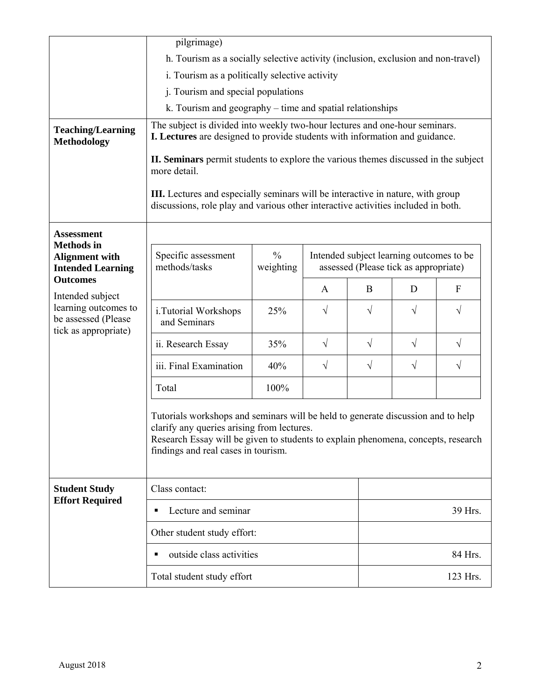|                                                                        | pilgrimage)                                                                                                                                                                                                                                                |                            |              |                                                                                   |            |              |  |
|------------------------------------------------------------------------|------------------------------------------------------------------------------------------------------------------------------------------------------------------------------------------------------------------------------------------------------------|----------------------------|--------------|-----------------------------------------------------------------------------------|------------|--------------|--|
|                                                                        | h. Tourism as a socially selective activity (inclusion, exclusion and non-travel)                                                                                                                                                                          |                            |              |                                                                                   |            |              |  |
|                                                                        | i. Tourism as a politically selective activity                                                                                                                                                                                                             |                            |              |                                                                                   |            |              |  |
|                                                                        | j. Tourism and special populations                                                                                                                                                                                                                         |                            |              |                                                                                   |            |              |  |
|                                                                        | k. Tourism and geography – time and spatial relationships                                                                                                                                                                                                  |                            |              |                                                                                   |            |              |  |
| <b>Teaching/Learning</b><br><b>Methodology</b>                         | The subject is divided into weekly two-hour lectures and one-hour seminars.<br>I. Lectures are designed to provide students with information and guidance.                                                                                                 |                            |              |                                                                                   |            |              |  |
|                                                                        | II. Seminars permit students to explore the various themes discussed in the subject<br>more detail.                                                                                                                                                        |                            |              |                                                                                   |            |              |  |
|                                                                        | III. Lectures and especially seminars will be interactive in nature, with group<br>discussions, role play and various other interactive activities included in both.                                                                                       |                            |              |                                                                                   |            |              |  |
| <b>Assessment</b>                                                      |                                                                                                                                                                                                                                                            |                            |              |                                                                                   |            |              |  |
| <b>Methods</b> in<br><b>Alignment with</b><br><b>Intended Learning</b> | Specific assessment<br>methods/tasks                                                                                                                                                                                                                       | $\frac{0}{0}$<br>weighting |              | Intended subject learning outcomes to be<br>assessed (Please tick as appropriate) |            |              |  |
| <b>Outcomes</b><br>Intended subject                                    |                                                                                                                                                                                                                                                            |                            | $\mathbf{A}$ | B                                                                                 | D          | $\mathbf{F}$ |  |
| learning outcomes to<br>be assessed (Please<br>tick as appropriate)    | i. Tutorial Workshops<br>and Seminars                                                                                                                                                                                                                      | 25%                        | $\sqrt{}$    | $\sqrt{}$                                                                         | $\sqrt{}$  | $\sqrt{}$    |  |
|                                                                        | ii. Research Essay                                                                                                                                                                                                                                         | 35%                        | $\sqrt{ }$   | $\sqrt{ }$                                                                        | $\sqrt{ }$ | $\sqrt{}$    |  |
|                                                                        | iii. Final Examination                                                                                                                                                                                                                                     | 40%                        | $\sqrt{ }$   | $\sqrt{}$                                                                         | $\sqrt{}$  | $\sqrt{}$    |  |
|                                                                        | Total                                                                                                                                                                                                                                                      | 100%                       |              |                                                                                   |            |              |  |
|                                                                        | Tutorials workshops and seminars will be held to generate discussion and to help<br>clarify any queries arising from lectures.<br>Research Essay will be given to students to explain phenomena, concepts, research<br>findings and real cases in tourism. |                            |              |                                                                                   |            |              |  |
| <b>Student Study</b><br><b>Effort Required</b>                         | Class contact:                                                                                                                                                                                                                                             |                            |              |                                                                                   |            |              |  |
|                                                                        | Lecture and seminar<br>٠                                                                                                                                                                                                                                   |                            |              |                                                                                   | 39 Hrs.    |              |  |
|                                                                        | Other student study effort:                                                                                                                                                                                                                                |                            |              |                                                                                   |            |              |  |
|                                                                        | outside class activities<br>٠                                                                                                                                                                                                                              |                            |              |                                                                                   | 84 Hrs.    |              |  |
|                                                                        | Total student study effort                                                                                                                                                                                                                                 |                            |              |                                                                                   |            | 123 Hrs.     |  |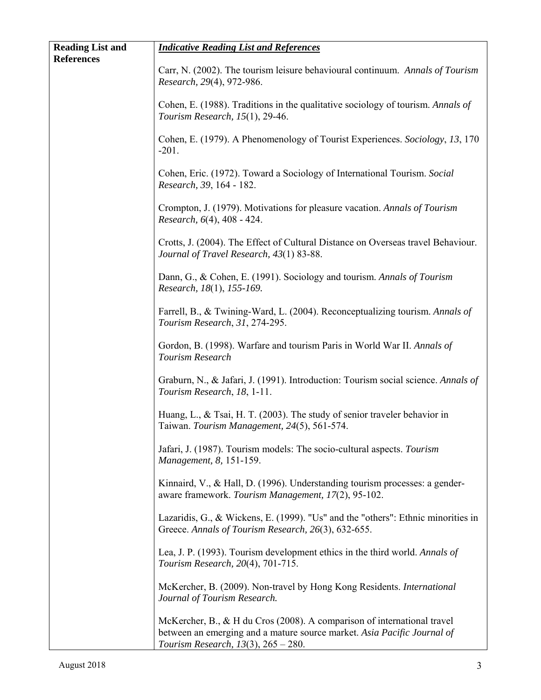| <b>Reading List and</b><br><b>References</b> | <b>Indicative Reading List and References</b>                                                                                                                                                      |
|----------------------------------------------|----------------------------------------------------------------------------------------------------------------------------------------------------------------------------------------------------|
|                                              | Carr, N. (2002). The tourism leisure behavioural continuum. Annals of Tourism<br>Research, 29(4), 972-986.                                                                                         |
|                                              | Cohen, E. (1988). Traditions in the qualitative sociology of tourism. Annals of<br>Tourism Research, 15(1), 29-46.                                                                                 |
|                                              | Cohen, E. (1979). A Phenomenology of Tourist Experiences. Sociology, 13, 170<br>$-201.$                                                                                                            |
|                                              | Cohen, Eric. (1972). Toward a Sociology of International Tourism. Social<br>Research, 39, 164 - 182.                                                                                               |
|                                              | Crompton, J. (1979). Motivations for pleasure vacation. Annals of Tourism<br>Research, 6(4), 408 - 424.                                                                                            |
|                                              | Crotts, J. (2004). The Effect of Cultural Distance on Overseas travel Behaviour.<br>Journal of Travel Research, 43(1) 83-88.                                                                       |
|                                              | Dann, G., & Cohen, E. (1991). Sociology and tourism. Annals of Tourism<br>Research, 18(1), 155-169.                                                                                                |
|                                              | Farrell, B., & Twining-Ward, L. (2004). Reconceptualizing tourism. Annals of<br>Tourism Research, 31, 274-295.                                                                                     |
|                                              | Gordon, B. (1998). Warfare and tourism Paris in World War II. Annals of<br>Tourism Research                                                                                                        |
|                                              | Graburn, N., & Jafari, J. (1991). Introduction: Tourism social science. Annals of<br>Tourism Research, 18, 1-11.                                                                                   |
|                                              | Huang, L., & Tsai, H. T. (2003). The study of senior traveler behavior in<br>Taiwan. Tourism Management, 24(5), 561-574.                                                                           |
|                                              | Jafari, J. (1987). Tourism models: The socio-cultural aspects. Tourism<br>Management, 8, 151-159.                                                                                                  |
|                                              | Kinnaird, V., & Hall, D. (1996). Understanding tourism processes: a gender-<br>aware framework. Tourism Management, 17(2), 95-102.                                                                 |
|                                              | Lazaridis, G., & Wickens, E. (1999). "Us" and the "others": Ethnic minorities in<br>Greece. Annals of Tourism Research, 26(3), 632-655.                                                            |
|                                              | Lea, J. P. (1993). Tourism development ethics in the third world. Annals of<br>Tourism Research, 20(4), 701-715.                                                                                   |
|                                              | McKercher, B. (2009). Non-travel by Hong Kong Residents. International<br>Journal of Tourism Research.                                                                                             |
|                                              | McKercher, B., $\&$ H du Cros (2008). A comparison of international travel<br>between an emerging and a mature source market. Asia Pacific Journal of<br>Tourism Research, $13(3)$ , $265 - 280$ . |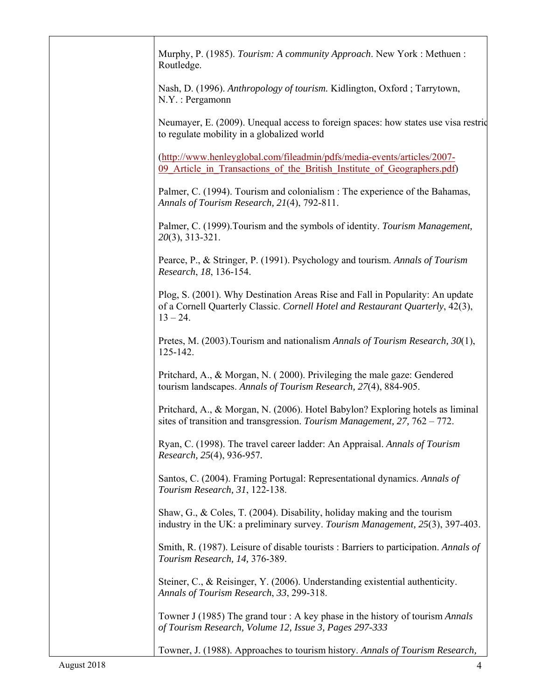| Murphy, P. (1985). Tourism: A community Approach. New York: Methuen:<br>Routledge.                                                                                             |
|--------------------------------------------------------------------------------------------------------------------------------------------------------------------------------|
| Nash, D. (1996). Anthropology of tourism. Kidlington, Oxford; Tarrytown,<br>$N.Y.$ : Pergamonn                                                                                 |
| Neumayer, E. (2009). Unequal access to foreign spaces: how states use visa restric<br>to regulate mobility in a globalized world                                               |
| (http://www.henleyglobal.com/fileadmin/pdfs/media-events/articles/2007-<br>09 Article in Transactions of the British Institute of Geographers.pdf)                             |
| Palmer, C. (1994). Tourism and colonialism : The experience of the Bahamas,<br>Annals of Tourism Research, 21(4), 792-811.                                                     |
| Palmer, C. (1999). Tourism and the symbols of identity. Tourism Management,<br>$20(3)$ , 313-321.                                                                              |
| Pearce, P., & Stringer, P. (1991). Psychology and tourism. Annals of Tourism<br>Research, 18, 136-154.                                                                         |
| Plog, S. (2001). Why Destination Areas Rise and Fall in Popularity: An update<br>of a Cornell Quarterly Classic. Cornell Hotel and Restaurant Quarterly, 42(3),<br>$13 - 24$ . |
| Pretes, M. (2003). Tourism and nationalism Annals of Tourism Research, 30(1),<br>125-142.                                                                                      |
| Pritchard, A., & Morgan, N. (2000). Privileging the male gaze: Gendered<br>tourism landscapes. Annals of Tourism Research, 27(4), 884-905.                                     |
| Pritchard, A., & Morgan, N. (2006). Hotel Babylon? Exploring hotels as liminal<br>sites of transition and transgression. Tourism Management, $27$ , $762 - 772$ .              |
| Ryan, C. (1998). The travel career ladder: An Appraisal. Annals of Tourism<br>Research, 25(4), 936-957.                                                                        |
| Santos, C. (2004). Framing Portugal: Representational dynamics. Annals of<br>Tourism Research, 31, 122-138.                                                                    |
| Shaw, G., & Coles, T. (2004). Disability, holiday making and the tourism<br>industry in the UK: a preliminary survey. Tourism Management, 25(3), 397-403.                      |
| Smith, R. (1987). Leisure of disable tourists: Barriers to participation. Annals of<br>Tourism Research, 14, 376-389.                                                          |
| Steiner, C., & Reisinger, Y. (2006). Understanding existential authenticity.<br>Annals of Tourism Research, 33, 299-318.                                                       |
| Towner J (1985) The grand tour : A key phase in the history of tourism <i>Annals</i><br>of Tourism Research, Volume 12, Issue 3, Pages 297-333                                 |
| Towner, J. (1988). Approaches to tourism history. Annals of Tourism Research,                                                                                                  |